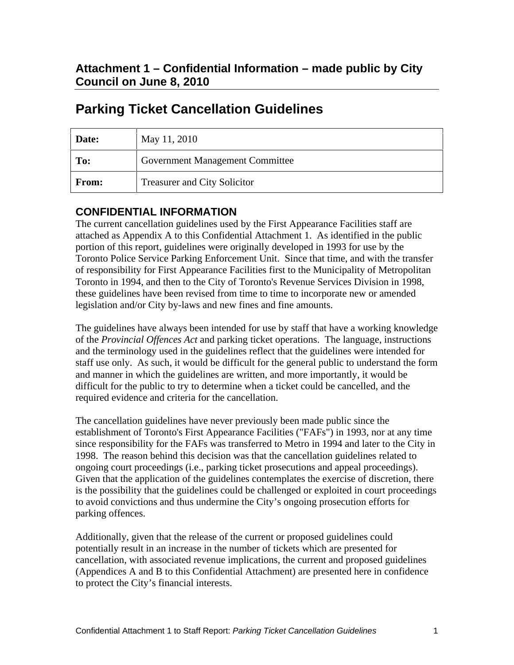| <b>Date:</b> | May 11, 2010                           |
|--------------|----------------------------------------|
| To:          | <b>Government Management Committee</b> |
| From:        | <b>Treasurer and City Solicitor</b>    |

## **Parking Ticket Cancellation Guidelines**

## **CONFIDENTIAL INFORMATION**

The current cancellation guidelines used by the First Appearance Facilities staff are attached as Appendix A to this Confidential Attachment 1. As identified in the public portion of this report, guidelines were originally developed in 1993 for use by the Toronto Police Service Parking Enforcement Unit. Since that time, and with the transfer of responsibility for First Appearance Facilities first to the Municipality of Metropolitan Toronto in 1994, and then to the City of Toronto's Revenue Services Division in 1998, these guidelines have been revised from time to time to incorporate new or amended legislation and/or City by-laws and new fines and fine amounts.

The guidelines have always been intended for use by staff that have a working knowledge of the *Provincial Offences Act* and parking ticket operations. The language, instructions and the terminology used in the guidelines reflect that the guidelines were intended for staff use only. As such, it would be difficult for the general public to understand the form and manner in which the guidelines are written, and more importantly, it would be difficult for the public to try to determine when a ticket could be cancelled, and the required evidence and criteria for the cancellation.

The cancellation guidelines have never previously been made public since the establishment of Toronto's First Appearance Facilities ("FAFs") in 1993, nor at any time since responsibility for the FAFs was transferred to Metro in 1994 and later to the City in 1998. The reason behind this decision was that the cancellation guidelines related to ongoing court proceedings (i.e., parking ticket prosecutions and appeal proceedings). Given that the application of the guidelines contemplates the exercise of discretion, there is the possibility that the guidelines could be challenged or exploited in court proceedings to avoid convictions and thus undermine the City's ongoing prosecution efforts for parking offences.

Additionally, given that the release of the current or proposed guidelines could potentially result in an increase in the number of tickets which are presented for cancellation, with associated revenue implications, the current and proposed guidelines (Appendices A and B to this Confidential Attachment) are presented here in confidence to protect the City's financial interests.